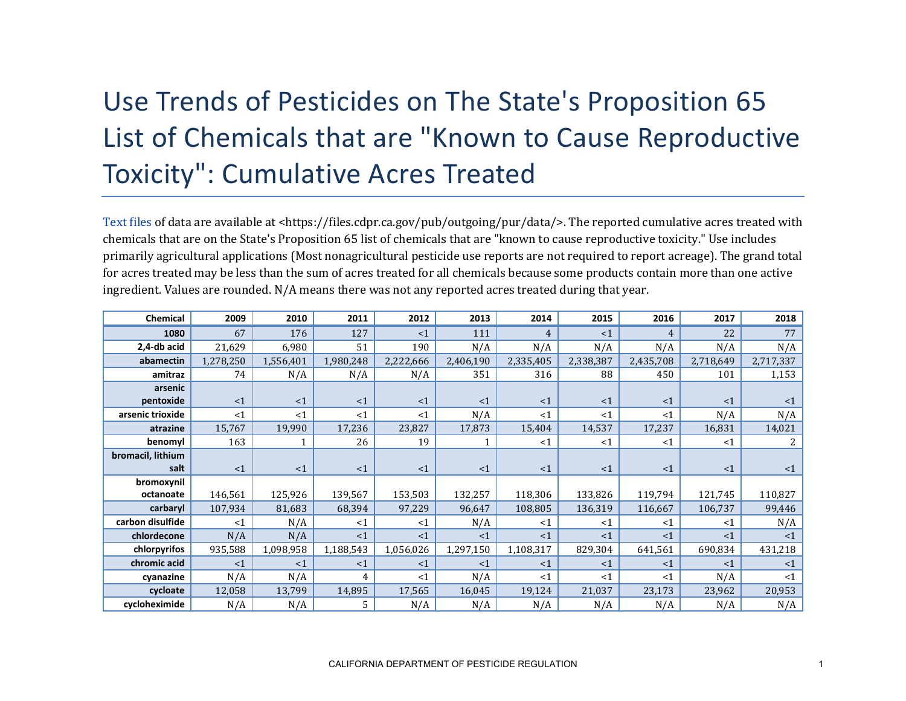## Use Trends of Pesticides on The State's Proposition 65 List of Chemicals that are "Known to Cause Reproductive Toxicity": Cumulative Acres Treated

[Text files](https://files.cdpr.ca.gov/pub/outgoing/pur/data/) of data are available at <https://files.cdpr.ca.gov/pub/outgoing/pur/data/>. The reported cumulative acres treated with chemicals that are on the State's Proposition 65 list of chemicals that are "known to cause reproductive toxicity." Use includes primarily agricultural applications (Most nonagricultural pesticide use reports are not required to report acreage). The grand total for acres treated may be less than the sum of acres treated for all chemicals because some products contain more than one active ingredient. Values are rounded. N/A means there was not any reported acres treated during that year.

| Chemical          | 2009      | 2010      | 2011      | 2012      | 2013      | 2014      | 2015      | 2016           | 2017      | 2018      |
|-------------------|-----------|-----------|-----------|-----------|-----------|-----------|-----------|----------------|-----------|-----------|
| 1080              | 67        | 176       | 127       | <1        | 111       | 4         | <1        | $\overline{4}$ | 22        | 77        |
| 2,4-db acid       | 21,629    | 6,980     | 51        | 190       | N/A       | N/A       | N/A       | N/A            | N/A       | N/A       |
| abamectin         | 1,278,250 | 1,556,401 | 1,980,248 | 2,222,666 | 2,406,190 | 2,335,405 | 2,338,387 | 2,435,708      | 2,718,649 | 2,717,337 |
| amitraz           | 74        | N/A       | N/A       | N/A       | 351       | 316       | 88        | 450            | 101       | 1,153     |
| arsenic           |           |           |           |           |           |           |           |                |           |           |
| pentoxide         | $\leq 1$  | <1        | <1        | <1        | <1        | <1        | <1        | <1             | <1        | $\leq 1$  |
| arsenic trioxide  | <1        | <1        | <1        | $<$ 1     | N/A       | <1        | <1        | <1             | N/A       | N/A       |
| atrazine          | 15,767    | 19,990    | 17,236    | 23,827    | 17,873    | 15,404    | 14,537    | 17,237         | 16,831    | 14,021    |
| benomyl           | 163       |           | 26        | 19        |           | <1        | $\leq 1$  | $<$ 1          | <1        | 2         |
| bromacil, lithium |           |           |           |           |           |           |           |                |           |           |
| salt              | $\leq 1$  | $\leq 1$  | <1        | <1        | <1        | <1        | <1        | <1             | <1        | $\leq 1$  |
| bromoxynil        |           |           |           |           |           |           |           |                |           |           |
| octanoate         | 146,561   | 125,926   | 139,567   | 153,503   | 132,257   | 118,306   | 133,826   | 119,794        | 121,745   | 110,827   |
| carbaryl          | 107,934   | 81,683    | 68,394    | 97,229    | 96,647    | 108,805   | 136,319   | 116,667        | 106,737   | 99,446    |
| carbon disulfide  | <1        | N/A       | <1        | <1        | N/A       | <1        | <1        | $<$ 1          | <1        | N/A       |
| chlordecone       | N/A       | N/A       | <1        | <1        | <1        | <1        | <1        | <1             | <1        | $\leq 1$  |
| chlorpyrifos      | 935,588   | 1,098,958 | 1,188,543 | 1,056,026 | 1,297,150 | 1,108,317 | 829,304   | 641,561        | 690,834   | 431,218   |
| chromic acid      | $\leq 1$  | <1        | <1        | <1        | <1        | <1        | <1        | <1             | <1        | $\leq 1$  |
| cyanazine         | N/A       | N/A       | 4         | <1        | N/A       | <1        | <1        | <1             | N/A       | <1        |
| cycloate          | 12,058    | 13,799    | 14,895    | 17,565    | 16,045    | 19,124    | 21,037    | 23,173         | 23,962    | 20,953    |
| cycloheximide     | N/A       | N/A       | 5.        | N/A       | N/A       | N/A       | N/A       | N/A            | N/A       | N/A       |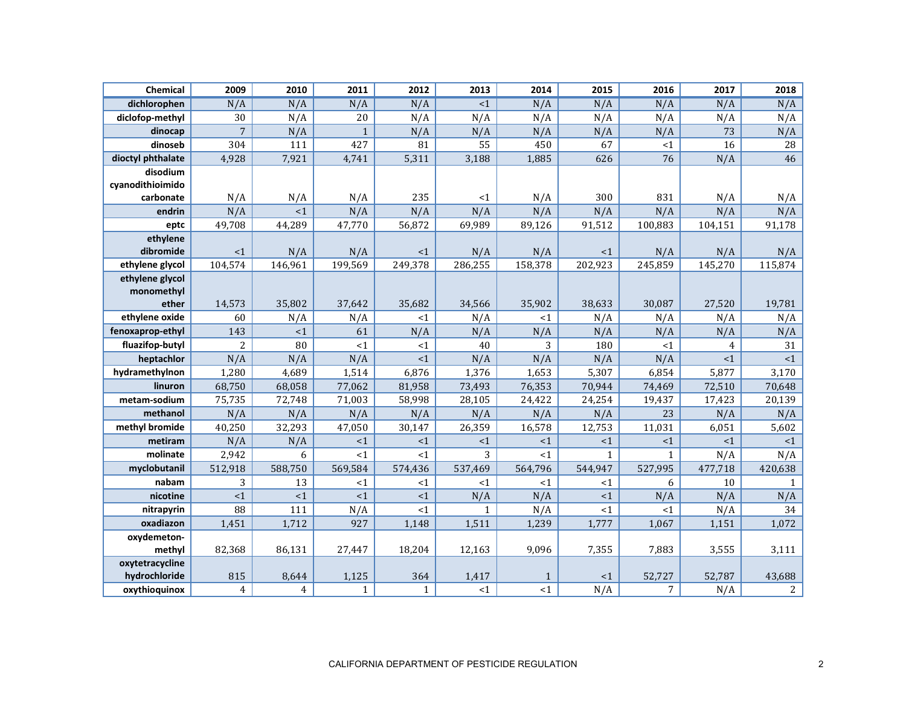| Chemical            | 2009           | 2010           | 2011         | 2012         | 2013            | 2014         | 2015         | 2016         | 2017           | 2018           |
|---------------------|----------------|----------------|--------------|--------------|-----------------|--------------|--------------|--------------|----------------|----------------|
| dichlorophen        | N/A            | N/A            | N/A          | N/A          | $\leq 1$        | N/A          | N/A          | N/A          | N/A            | N/A            |
| diclofop-methyl     | 30             | N/A            | 20           | N/A          | N/A             | N/A          | N/A          | N/A          | N/A            | N/A            |
| dinocap             | $\overline{7}$ | N/A            | $\mathbf{1}$ | N/A          | N/A             | N/A          | N/A          | N/A          | 73             | N/A            |
| dinoseb             | 304            | 111            | 427          | 81           | $\overline{55}$ | 450          | 67           | <1           | 16             | 28             |
| dioctyl phthalate   | 4,928          | 7,921          | 4,741        | 5,311        | 3,188           | 1,885        | 626          | 76           | N/A            | 46             |
| disodium            |                |                |              |              |                 |              |              |              |                |                |
| cyanodithioimido    |                |                |              |              |                 |              |              |              |                |                |
| carbonate           | N/A            | N/A            | N/A          | 235          | <1              | N/A          | 300          | 831          | N/A            | N/A            |
| endrin              | N/A            | <1             | N/A          | N/A          | N/A             | N/A          | N/A          | N/A          | N/A            | N/A            |
| eptc                | 49,708         | 44,289         | 47,770       | 56,872       | 69,989          | 89,126       | 91,512       | 100,883      | 104,151        | 91,178         |
| ethylene            |                |                |              |              |                 |              |              |              |                |                |
| dibromide           | <1             | N/A            | N/A          | $<$ 1        | N/A             | N/A          | <1           | N/A          | N/A            | N/A            |
| ethylene glycol     | 104,574        | 146,961        | 199,569      | 249,378      | 286,255         | 158,378      | 202,923      | 245,859      | 145,270        | 115,874        |
| ethylene glycol     |                |                |              |              |                 |              |              |              |                |                |
| monomethyl<br>ether | 14,573         | 35,802         | 37,642       | 35,682       | 34,566          | 35,902       | 38,633       | 30,087       | 27,520         | 19,781         |
| ethylene oxide      | 60             | N/A            | N/A          | <1           | N/A             | <1           | N/A          | N/A          | N/A            | N/A            |
| fenoxaprop-ethyl    | 143            | <1             | 61           | N/A          | N/A             | N/A          | N/A          | N/A          | N/A            | N/A            |
| fluazifop-butyl     | $\overline{c}$ | 80             | <1           | $<$ 1        | 40              | 3            | 180          | <1           | $\overline{4}$ | 31             |
| heptachlor          | N/A            | N/A            | N/A          | <1           | N/A             | N/A          | N/A          | N/A          | <1             | ${<}1$         |
| hydramethylnon      | 1,280          | 4,689          | 1,514        | 6,876        | 1,376           | 1,653        | 5,307        | 6,854        | 5,877          | 3,170          |
| linuron             | 68,750         | 68,058         | 77,062       | 81,958       | 73,493          | 76,353       | 70,944       | 74,469       | 72,510         | 70,648         |
| metam-sodium        | 75,735         | 72,748         | 71,003       | 58,998       | 28,105          | 24,422       | 24,254       | 19,437       | 17,423         | 20,139         |
| methanol            | N/A            | N/A            | N/A          | N/A          | N/A             | N/A          | N/A          | 23           | N/A            | N/A            |
| methyl bromide      | 40,250         | 32,293         | 47,050       | 30,147       | 26,359          | 16,578       | 12,753       | 11,031       | 6,051          | 5,602          |
| metiram             | N/A            | N/A            | ${<}1$       | <1           | <1              | <1           | <1           | <1           | <1             | $<1\,$         |
| molinate            | 2,942          | 6              | <1           | <1           | $\overline{3}$  | <1           | $\mathbf{1}$ | $\mathbf{1}$ | N/A            | N/A            |
| myclobutanil        | 512,918        | 588,750        | 569,584      | 574,436      | 537,469         | 564,796      | 544,947      | 527,995      | 477,718        | 420,638        |
| nabam               | 3              | 13             | <1           | <1           | $<$ 1           | <1           | <1           | 6            | 10             | $\mathbf{1}$   |
| nicotine            | ${<}1$         | $\leq$ 1       | $\leq$ 1     | <1           | N/A             | N/A          | $\leq 1$     | N/A          | N/A            | N/A            |
| nitrapyrin          | 88             | 111            | N/A          | <1           | $\mathbf{1}$    | N/A          | $\leq 1$     | <1           | N/A            | 34             |
| oxadiazon           | 1,451          | 1,712          | 927          | 1,148        | 1,511           | 1,239        | 1,777        | 1,067        | 1,151          | 1,072          |
| oxydemeton-         |                |                |              |              |                 |              |              |              |                |                |
| methyl              | 82,368         | 86,131         | 27,447       | 18,204       | 12,163          | 9,096        | 7,355        | 7,883        | 3,555          | 3,111          |
| oxytetracycline     |                |                |              |              |                 |              |              |              |                |                |
| hydrochloride       | 815            | 8,644          | 1,125        | 364          | 1,417           | $\mathbf{1}$ | <1           | 52,727       | 52,787         | 43,688         |
| oxythioquinox       | 4              | $\overline{4}$ | $\mathbf{1}$ | $\mathbf{1}$ | <1              | <1           | N/A          | 7            | N/A            | $\overline{2}$ |